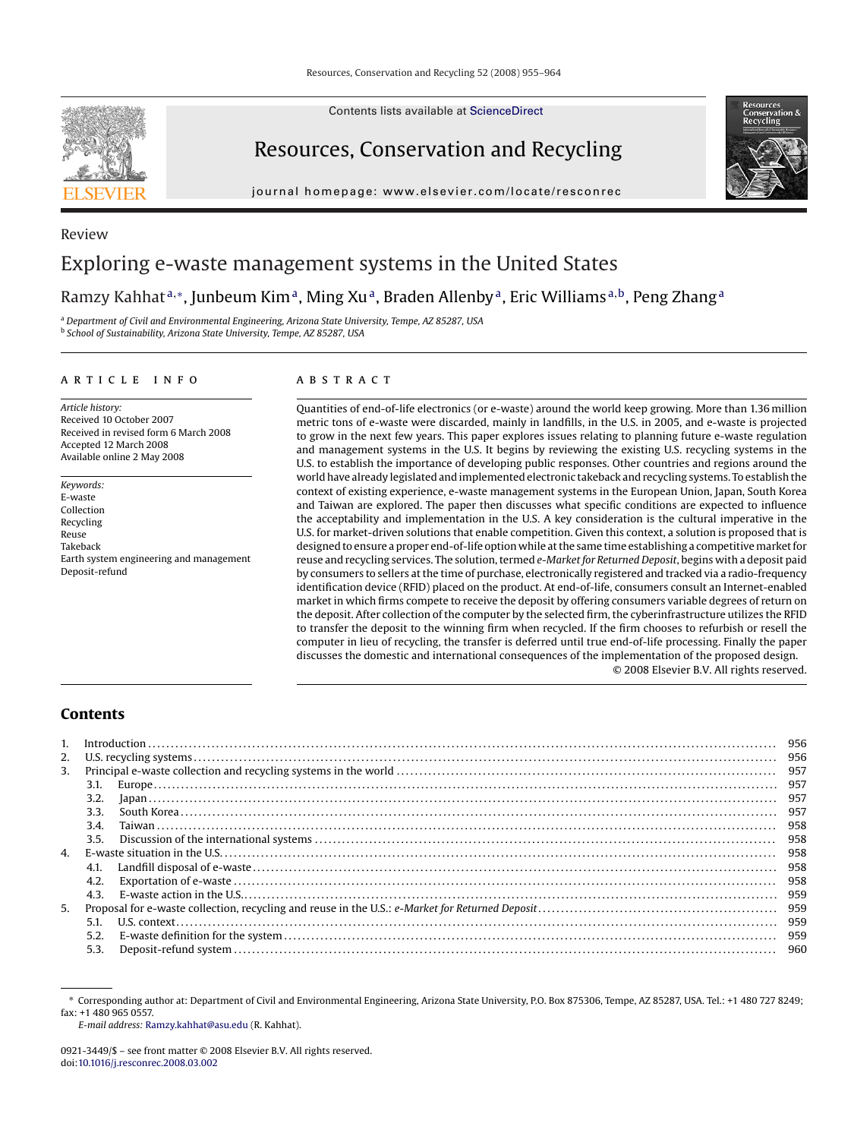

Review

Contents lists available at [ScienceDirect](http://www.sciencedirect.com/science/journal/09213449)

# Resources, Conservation and Recycling

journal homepage: www.elsevier.com/locate/resconrec



# Exploring e-waste management systems in the United States

# Ramzy Kahhat<sup>a,∗</sup>, Junbeum Kim<sup>a</sup>, Ming Xu<sup>a</sup>, Braden Allenby<sup>a</sup>, Eric Williams<sup>a,b</sup>, Peng Zhang<sup>a</sup>

<sup>a</sup> *Department of Civil and Environmental Engineering, Arizona State University, Tempe, AZ 85287, USA* <sup>b</sup> *School of Sustainability, Arizona State University, Tempe, AZ 85287, USA*

#### article info

*Article history:* Received 10 October 2007 Received in revised form 6 March 2008 Accepted 12 March 2008 Available online 2 May 2008

*Keywords:* E-waste Collection Recycling Reuse Takeback Earth system engineering and management Deposit-refund

### ABSTRACT

Quantities of end-of-life electronics (or e-waste) around the world keep growing. More than 1.36 million metric tons of e-waste were discarded, mainly in landfills, in the U.S. in 2005, and e-waste is projected to grow in the next few years. This paper explores issues relating to planning future e-waste regulation and management systems in the U.S. It begins by reviewing the existing U.S. recycling systems in the U.S. to establish the importance of developing public responses. Other countries and regions around the world have already legislated and implemented electronic takeback and recycling systems. To establish the context of existing experience, e-waste management systems in the European Union, Japan, South Korea and Taiwan are explored. The paper then discusses what specific conditions are expected to influence the acceptability and implementation in the U.S. A key consideration is the cultural imperative in the U.S. for market-driven solutions that enable competition. Given this context, a solution is proposed that is designed to ensure a proper end-of-life option while at the same time establishing a competitive market for reuse and recycling services. The solution, termed *e-Market for Returned Deposit*, begins with a deposit paid by consumers to sellers at the time of purchase, electronically registered and tracked via a radio-frequency identification device (RFID) placed on the product. At end-of-life, consumers consult an Internet-enabled market in which firms compete to receive the deposit by offering consumers variable degrees of return on the deposit. After collection of the computer by the selected firm, the cyberinfrastructure utilizes the RFID to transfer the deposit to the winning firm when recycled. If the firm chooses to refurbish or resell the computer in lieu of recycling, the transfer is deferred until true end-of-life processing. Finally the paper discusses the domestic and international consequences of the implementation of the proposed design. © 2008 Elsevier B.V. All rights reserved.

# **Contents**

| 2.<br>3.     | 3.1.<br>3.2.<br>3.3. |                                                                                                                                                                                                                                  | 956<br>956<br>957<br>957<br>957<br>957 |
|--------------|----------------------|----------------------------------------------------------------------------------------------------------------------------------------------------------------------------------------------------------------------------------|----------------------------------------|
|              | 3.4.                 |                                                                                                                                                                                                                                  | 958                                    |
|              | 3.5.                 |                                                                                                                                                                                                                                  | 958                                    |
| $\mathbf{A}$ |                      |                                                                                                                                                                                                                                  | 958                                    |
|              | 4.1.                 |                                                                                                                                                                                                                                  | 958                                    |
|              | 4.2.                 |                                                                                                                                                                                                                                  | 958                                    |
|              | 4.3.                 | E-waste action in the U.S. $\ldots$ $\ldots$ $\ldots$ $\ldots$ $\ldots$ $\ldots$ $\ldots$ $\ldots$ $\ldots$ $\ldots$ $\ldots$ $\ldots$ $\ldots$ $\ldots$ $\ldots$ $\ldots$ $\ldots$ $\ldots$ $\ldots$ $\ldots$ $\ldots$ $\ldots$ | 959                                    |
| 5.           |                      |                                                                                                                                                                                                                                  |                                        |
|              | 5.1.                 |                                                                                                                                                                                                                                  | 959                                    |
|              | 5.2.                 |                                                                                                                                                                                                                                  | 959                                    |
|              | 5.3.                 |                                                                                                                                                                                                                                  | 960                                    |
|              |                      |                                                                                                                                                                                                                                  |                                        |

*E-mail address:* [Ramzy.kahhat@asu.edu](mailto:Ramzy.kahhat@asu.edu) (R. Kahhat).

<sup>∗</sup> Corresponding author at: Department of Civil and Environmental Engineering, Arizona State University, P.O. Box 875306, Tempe, AZ 85287, USA. Tel.: +1 480 727 8249; fax: +1 480 965 0557.

<sup>0921-3449/\$ –</sup> see front matter © 2008 Elsevier B.V. All rights reserved. doi[:10.1016/j.resconrec.2008.03.002](dx.doi.org/10.1016/j.resconrec.2008.03.002)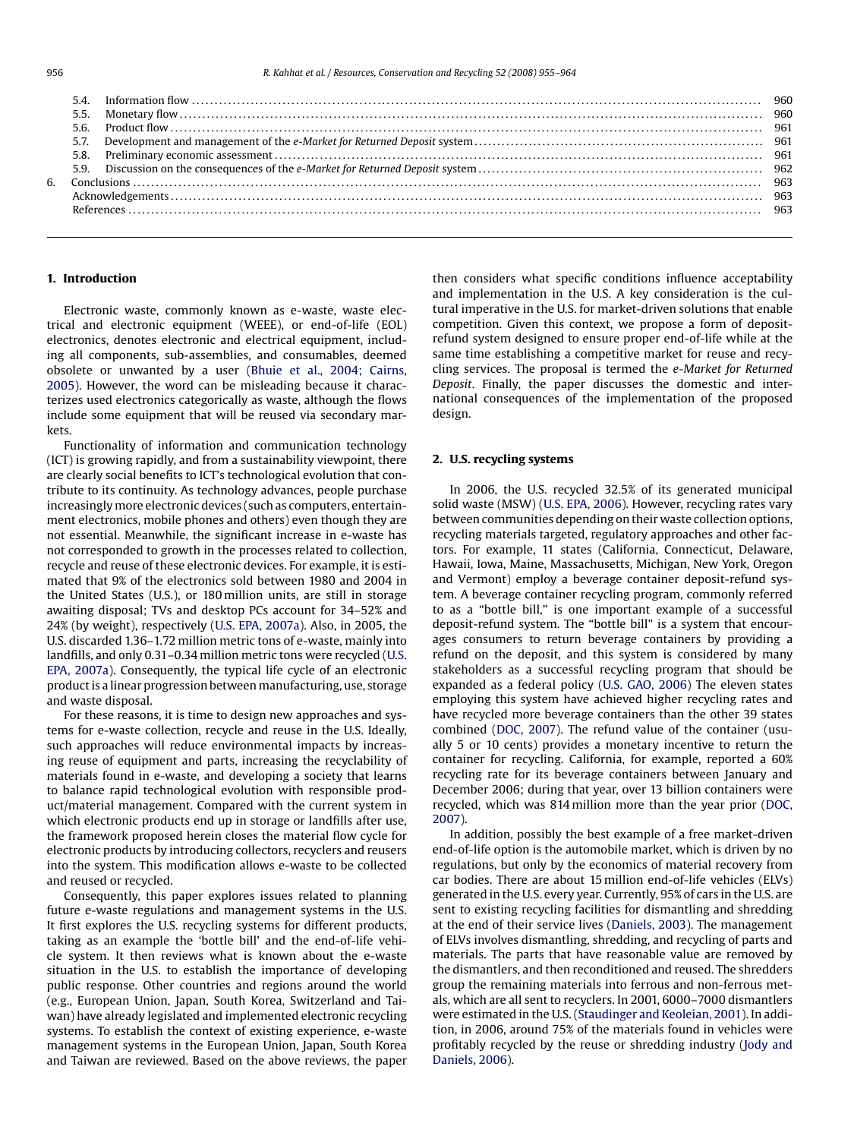#### **1. Introduction**

Electronic waste, commonly known as e-waste, waste electrical and electronic equipment (WEEE), or end-of-life (EOL) electronics, denotes electronic and electrical equipment, including all components, sub-assemblies, and consumables, deemed obsolete or unwanted by a user ([Bhuie et al., 2004; Cairns,](#page-8-0) [2005\).](#page-8-0) However, the word can be misleading because it characterizes used electronics categorically as waste, although the flows include some equipment that will be reused via secondary markets.

Functionality of information and communication technology (ICT) is growing rapidly, and from a sustainability viewpoint, there are clearly social benefits to ICT's technological evolution that contribute to its continuity. As technology advances, people purchase increasingly more electronic devices (such as computers, entertainment electronics, mobile phones and others) even though they are not essential. Meanwhile, the significant increase in e-waste has not corresponded to growth in the processes related to collection, recycle and reuse of these electronic devices. For example, it is estimated that 9% of the electronics sold between 1980 and 2004 in the United States (U.S.), or 180 million units, are still in storage awaiting disposal; TVs and desktop PCs account for 34–52% and 24% (by weight), respectively ([U.S. EPA, 2007a\).](#page-9-0) Also, in 2005, the U.S. discarded 1.36–1.72 million metric tons of e-waste, mainly into landfills, and only 0.31–0.34 million metric tons were recycled ([U.S.](#page-9-0) [EPA, 2007a\).](#page-9-0) Consequently, the typical life cycle of an electronic product is a linear progression betweenmanufacturing, use, storage and waste disposal.

For these reasons, it is time to design new approaches and systems for e-waste collection, recycle and reuse in the U.S. Ideally, such approaches will reduce environmental impacts by increasing reuse of equipment and parts, increasing the recyclability of materials found in e-waste, and developing a society that learns to balance rapid technological evolution with responsible product/material management. Compared with the current system in which electronic products end up in storage or landfills after use, the framework proposed herein closes the material flow cycle for electronic products by introducing collectors, recyclers and reusers into the system. This modification allows e-waste to be collected and reused or recycled.

Consequently, this paper explores issues related to planning future e-waste regulations and management systems in the U.S. It first explores the U.S. recycling systems for different products, taking as an example the 'bottle bill' and the end-of-life vehicle system. It then reviews what is known about the e-waste situation in the U.S. to establish the importance of developing public response. Other countries and regions around the world (e.g., European Union, Japan, South Korea, Switzerland and Taiwan) have already legislated and implemented electronic recycling systems. To establish the context of existing experience, e-waste management systems in the European Union, Japan, South Korea and Taiwan are reviewed. Based on the above reviews, the paper then considers what specific conditions influence acceptability and implementation in the U.S. A key consideration is the cultural imperative in the U.S. for market-driven solutions that enable competition. Given this context, we propose a form of depositrefund system designed to ensure proper end-of-life while at the same time establishing a competitive market for reuse and recycling services. The proposal is termed the *e-Market for Returned Deposit*. Finally, the paper discusses the domestic and international consequences of the implementation of the proposed design.

#### **2. U.S. recycling systems**

In 2006, the U.S. recycled 32.5% of its generated municipal solid waste (MSW) ([U.S. EPA, 2006\).](#page-9-0) However, recycling rates vary between communities depending on their waste collection options, recycling materials targeted, regulatory approaches and other factors. For example, 11 states (California, Connecticut, Delaware, Hawaii, Iowa, Maine, Massachusetts, Michigan, New York, Oregon and Vermont) employ a beverage container deposit-refund system. A beverage container recycling program, commonly referred to as a "bottle bill," is one important example of a successful deposit-refund system. The "bottle bill" is a system that encourages consumers to return beverage containers by providing a refund on the deposit, and this system is considered by many stakeholders as a successful recycling program that should be expanded as a federal policy [\(U.S. GAO, 2006\)](#page-9-0) The eleven states employing this system have achieved higher recycling rates and have recycled more beverage containers than the other 39 states combined [\(DOC, 2007\).](#page-9-0) The refund value of the container (usually 5 or 10 cents) provides a monetary incentive to return the container for recycling. California, for example, reported a 60% recycling rate for its beverage containers between January and December 2006; during that year, over 13 billion containers were recycled, which was 814 million more than the year prior ([DOC,](#page-9-0) [2007\).](#page-9-0)

In addition, possibly the best example of a free market-driven end-of-life option is the automobile market, which is driven by no regulations, but only by the economics of material recovery from car bodies. There are about 15 million end-of-life vehicles (ELVs) generated in the U.S. every year. Currently, 95% of cars in the U.S. are sent to existing recycling facilities for dismantling and shredding at the end of their service lives [\(Daniels, 2003\).](#page-8-0) The management of ELVs involves dismantling, shredding, and recycling of parts and materials. The parts that have reasonable value are removed by the dismantlers, and then reconditioned and reused. The shredders group the remaining materials into ferrous and non-ferrous metals, which are all sent to recyclers. In 2001, 6000–7000 dismantlers were estimated in the U.S. [\(Staudinger and Keoleian, 2001\).](#page-9-0) In addition, in 2006, around 75% of the materials found in vehicles were profitably recycled by the reuse or shredding industry ([Jody and](#page-9-0) [Daniels, 2006\).](#page-9-0)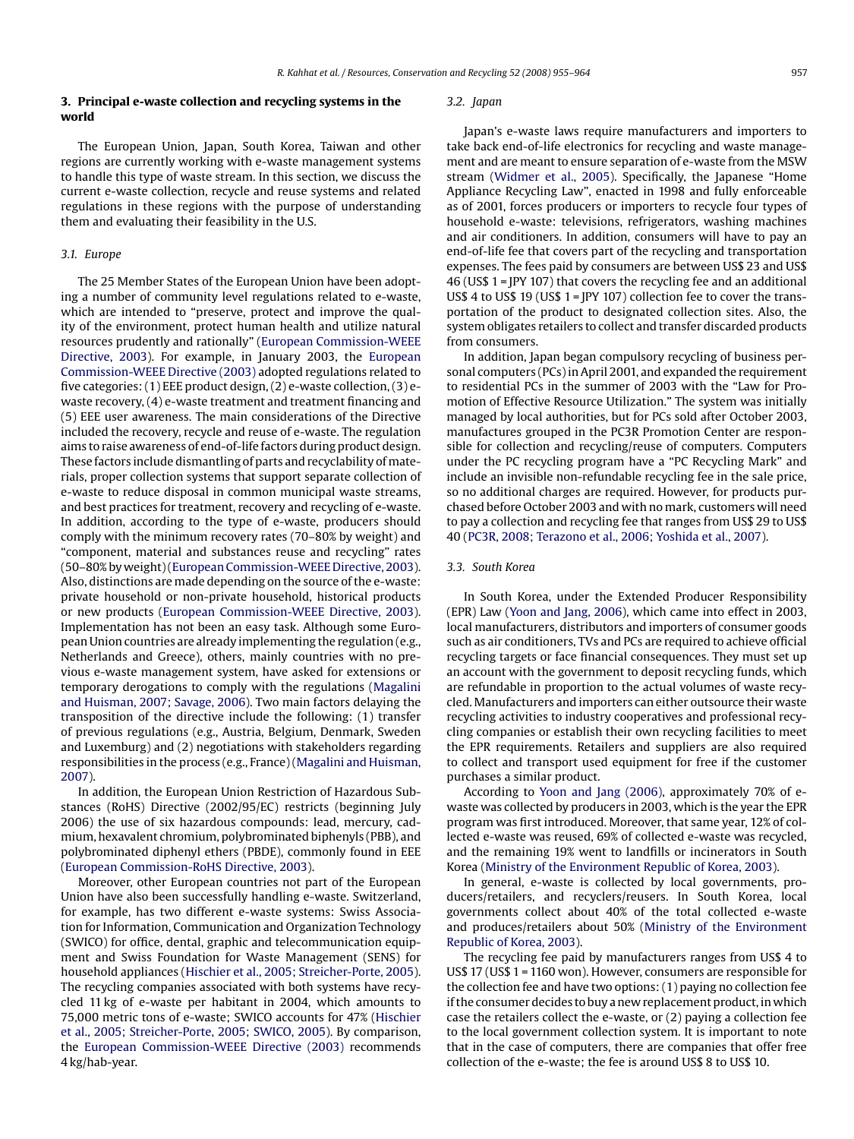#### **3. Principal e-waste collection and recycling systems in the world**

The European Union, Japan, South Korea, Taiwan and other regions are currently working with e-waste management systems to handle this type of waste stream. In this section, we discuss the current e-waste collection, recycle and reuse systems and related regulations in these regions with the purpose of understanding them and evaluating their feasibility in the U.S.

#### *3.1. Europe*

The 25 Member States of the European Union have been adopting a number of community level regulations related to e-waste, which are intended to "preserve, protect and improve the quality of the environment, protect human health and utilize natural resources prudently and rationally" [\(European Commission-WEEE](#page-8-0) [Directive, 2003\).](#page-8-0) For example, in January 2003, the [European](#page-8-0) [Commission-WEEE Directive \(2003\)](#page-8-0) adopted regulations related to five categories: (1) EEE product design, (2) e-waste collection, (3) ewaste recovery, (4) e-waste treatment and treatment financing and (5) EEE user awareness. The main considerations of the Directive included the recovery, recycle and reuse of e-waste. The regulation aims to raise awareness of end-of-life factors during product design. These factors include dismantling of parts and recyclability of materials, proper collection systems that support separate collection of e-waste to reduce disposal in common municipal waste streams, and best practices for treatment, recovery and recycling of e-waste. In addition, according to the type of e-waste, producers should comply with the minimum recovery rates (70–80% by weight) and "component, material and substances reuse and recycling" rates (50–80% by weight) [\(European Commission-WEEE Directive, 2003\).](#page-8-0) Also, distinctions are made depending on the source of the e-waste: private household or non-private household, historical products or new products ([European Commission-WEEE Directive, 2003\).](#page-8-0) Implementation has not been an easy task. Although some European Union countries are already implementing the regulation (e.g., Netherlands and Greece), others, mainly countries with no previous e-waste management system, have asked for extensions or temporary derogations to comply with the regulations [\(Magalini](#page-9-0) [and Huisman, 2007; Savage, 2006\).](#page-9-0) Two main factors delaying the transposition of the directive include the following: (1) transfer of previous regulations (e.g., Austria, Belgium, Denmark, Sweden and Luxemburg) and (2) negotiations with stakeholders regarding responsibilities in the process (e.g., France) ([Magalini and Huisman,](#page-9-0) [2007\).](#page-9-0)

In addition, the European Union Restriction of Hazardous Substances (RoHS) Directive (2002/95/EC) restricts (beginning July 2006) the use of six hazardous compounds: lead, mercury, cadmium, hexavalent chromium, polybrominated biphenyls (PBB), and polybrominated diphenyl ethers (PBDE), commonly found in EEE [\(European Commission-RoHS Directive, 2003\).](#page-8-0)

Moreover, other European countries not part of the European Union have also been successfully handling e-waste. Switzerland, for example, has two different e-waste systems: Swiss Association for Information, Communication and Organization Technology (SWICO) for office, dental, graphic and telecommunication equipment and Swiss Foundation for Waste Management (SENS) for household appliances [\(Hischier et al., 2005; Streicher-Porte, 2005\).](#page-9-0) The recycling companies associated with both systems have recycled 11 kg of e-waste per habitant in 2004, which amounts to 75,000 metric tons of e-waste; SWICO accounts for 47% ([Hischier](#page-9-0) [et al., 2005; Streicher-Porte, 2005; SWICO, 2005\).](#page-9-0) By comparison, the [European Commission-WEEE Directive \(2003\)](#page-8-0) recommends 4 kg/hab-year.

#### *3.2. Japan*

Japan's e-waste laws require manufacturers and importers to take back end-of-life electronics for recycling and waste management and are meant to ensure separation of e-waste from the MSW stream ([Widmer et al., 2005\).](#page-9-0) Specifically, the Japanese "Home Appliance Recycling Law", enacted in 1998 and fully enforceable as of 2001, forces producers or importers to recycle four types of household e-waste: televisions, refrigerators, washing machines and air conditioners. In addition, consumers will have to pay an end-of-life fee that covers part of the recycling and transportation expenses. The fees paid by consumers are between US\$ 23 and US\$ 46 (US\$ 1 = JPY 107) that covers the recycling fee and an additional US\$ 4 to US\$ 19 (US\$ 1 = JPY 107) collection fee to cover the transportation of the product to designated collection sites. Also, the system obligates retailers to collect and transfer discarded products from consumers.

In addition, Japan began compulsory recycling of business personal computers (PCs) in April 2001, and expanded the requirement to residential PCs in the summer of 2003 with the "Law for Promotion of Effective Resource Utilization." The system was initially managed by local authorities, but for PCs sold after October 2003, manufactures grouped in the PC3R Promotion Center are responsible for collection and recycling/reuse of computers. Computers under the PC recycling program have a "PC Recycling Mark" and include an invisible non-refundable recycling fee in the sale price, so no additional charges are required. However, for products purchased before October 2003 and with no mark, customers will need to pay a collection and recycling fee that ranges from US\$ 29 to US\$ 40 [\(PC3R, 2008; Terazono et al., 2006; Yoshida et al., 2007\).](#page-9-0)

#### *3.3. South Korea*

In South Korea, under the Extended Producer Responsibility (EPR) Law [\(Yoon and Jang, 2006\),](#page-9-0) which came into effect in 2003, local manufacturers, distributors and importers of consumer goods such as air conditioners, TVs and PCs are required to achieve official recycling targets or face financial consequences. They must set up an account with the government to deposit recycling funds, which are refundable in proportion to the actual volumes of waste recycled. Manufacturers and importers can either outsource their waste recycling activities to industry cooperatives and professional recycling companies or establish their own recycling facilities to meet the EPR requirements. Retailers and suppliers are also required to collect and transport used equipment for free if the customer purchases a similar product.

According to [Yoon and Jang \(2006\),](#page-9-0) approximately 70% of ewaste was collected by producers in 2003, which is the year the EPR program was first introduced. Moreover, that same year, 12% of collected e-waste was reused, 69% of collected e-waste was recycled, and the remaining 19% went to landfills or incinerators in South Korea [\(Ministry of the Environment Republic of Korea, 2003\).](#page-9-0)

In general, e-waste is collected by local governments, producers/retailers, and recyclers/reusers. In South Korea, local governments collect about 40% of the total collected e-waste and produces/retailers about 50% [\(Ministry of the Environment](#page-9-0) [Republic of Korea, 2003\).](#page-9-0)

The recycling fee paid by manufacturers ranges from US\$ 4 to US\$ 17 (US\$ 1 = 1160 won). However, consumers are responsible for the collection fee and have two options: (1) paying no collection fee if the consumer decides to buy a new replacement product, in which case the retailers collect the e-waste, or (2) paying a collection fee to the local government collection system. It is important to note that in the case of computers, there are companies that offer free collection of the e-waste; the fee is around US\$ 8 to US\$ 10.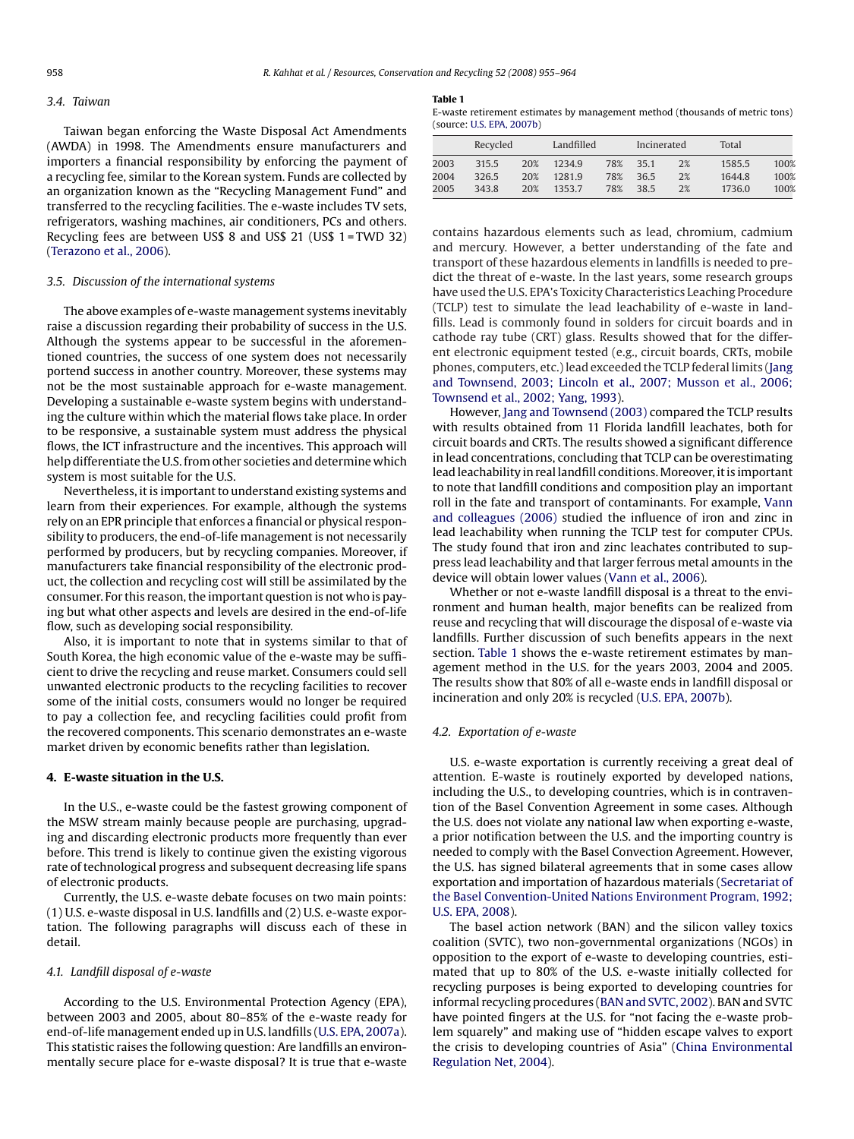#### *3.4. Taiwan*

Taiwan began enforcing the Waste Disposal Act Amendments (AWDA) in 1998. The Amendments ensure manufacturers and importers a financial responsibility by enforcing the payment of a recycling fee, similar to the Korean system. Funds are collected by an organization known as the "Recycling Management Fund" and transferred to the recycling facilities. The e-waste includes TV sets, refrigerators, washing machines, air conditioners, PCs and others. Recycling fees are between US\$ 8 and US\$ 21 (US\$ 1 = TWD 32) ([Terazono et al., 2006\).](#page-9-0)

# *3.5. Discussion of the international systems*

The above examples of e-waste management systems inevitably raise a discussion regarding their probability of success in the U.S. Although the systems appear to be successful in the aforementioned countries, the success of one system does not necessarily portend success in another country. Moreover, these systems may not be the most sustainable approach for e-waste management. Developing a sustainable e-waste system begins with understanding the culture within which the material flows take place. In order to be responsive, a sustainable system must address the physical flows, the ICT infrastructure and the incentives. This approach will help differentiate the U.S. from other societies and determine which system is most suitable for the U.S.

Nevertheless, it is important to understand existing systems and learn from their experiences. For example, although the systems rely on an EPR principle that enforces a financial or physical responsibility to producers, the end-of-life management is not necessarily performed by producers, but by recycling companies. Moreover, if manufacturers take financial responsibility of the electronic product, the collection and recycling cost will still be assimilated by the consumer. For this reason, the important question is not who is paying but what other aspects and levels are desired in the end-of-life flow, such as developing social responsibility.

Also, it is important to note that in systems similar to that of South Korea, the high economic value of the e-waste may be sufficient to drive the recycling and reuse market. Consumers could sell unwanted electronic products to the recycling facilities to recover some of the initial costs, consumers would no longer be required to pay a collection fee, and recycling facilities could profit from the recovered components. This scenario demonstrates an e-waste market driven by economic benefits rather than legislation.

#### **4. E-waste situation in the U.S.**

In the U.S., e-waste could be the fastest growing component of the MSW stream mainly because people are purchasing, upgrading and discarding electronic products more frequently than ever before. This trend is likely to continue given the existing vigorous rate of technological progress and subsequent decreasing life spans of electronic products.

Currently, the U.S. e-waste debate focuses on two main points: (1) U.S. e-waste disposal in U.S. landfills and (2) U.S. e-waste exportation. The following paragraphs will discuss each of these in detail.

#### *4.1. Landfill disposal of e-waste*

According to the U.S. Environmental Protection Agency (EPA), between 2003 and 2005, about 80–85% of the e-waste ready for end-of-life management ended up in U.S. landfills ([U.S. EPA, 2007a\).](#page-9-0) This statistic raises the following question: Are landfills an environmentally secure place for e-waste disposal? It is true that e-waste

#### **Table 1**

E-waste retirement estimates by management method (thousands of metric tons) (source: [U.S. EPA, 2007b\)](#page-9-0)

|      | Recycled |     | Landfilled |     | Incinerated |    | Total  |      |  |
|------|----------|-----|------------|-----|-------------|----|--------|------|--|
| 2003 | 315.5    | 20% | 1234.9     | 78% | 35.1        | 2% | 1585.5 | 100% |  |
| 2004 | 326.5    | 20% | 1281.9     | 78% | 36.5        | 2% | 1644.8 | 100% |  |
| 2005 | 343.8    | 20% | 1353.7     | 78% | 38.5        | 2% | 1736.0 | 100% |  |

contains hazardous elements such as lead, chromium, cadmium and mercury. However, a better understanding of the fate and transport of these hazardous elements in landfills is needed to predict the threat of e-waste. In the last years, some research groups have used the U.S. EPA's Toxicity Characteristics Leaching Procedure (TCLP) test to simulate the lead leachability of e-waste in landfills. Lead is commonly found in solders for circuit boards and in cathode ray tube (CRT) glass. Results showed that for the different electronic equipment tested (e.g., circuit boards, CRTs, mobile phones, computers, etc.) lead exceeded the TCLP federal limits [\(Jang](#page-9-0) [and Townsend, 2003; Lincoln et al., 2007; Musson et al., 2006;](#page-9-0) [Townsend et al., 2002; Yang, 1993\).](#page-9-0)

However, [Jang and Townsend \(2003\)](#page-9-0) compared the TCLP results with results obtained from 11 Florida landfill leachates, both for circuit boards and CRTs. The results showed a significant difference in lead concentrations, concluding that TCLP can be overestimating lead leachability in real landfill conditions.Moreover, it is important to note that landfill conditions and composition play an important roll in the fate and transport of contaminants. For example, [Vann](#page-9-0) [and colleagues \(2006\)](#page-9-0) studied the influence of iron and zinc in lead leachability when running the TCLP test for computer CPUs. The study found that iron and zinc leachates contributed to suppress lead leachability and that larger ferrous metal amounts in the device will obtain lower values [\(Vann et al., 2006\).](#page-9-0)

Whether or not e-waste landfill disposal is a threat to the environment and human health, major benefits can be realized from reuse and recycling that will discourage the disposal of e-waste via landfills. Further discussion of such benefits appears in the next section. Table 1 shows the e-waste retirement estimates by management method in the U.S. for the years 2003, 2004 and 2005. The results show that 80% of all e-waste ends in landfill disposal or incineration and only 20% is recycled ([U.S. EPA, 2007b\).](#page-9-0)

#### *4.2. Exportation of e-waste*

U.S. e-waste exportation is currently receiving a great deal of attention. E-waste is routinely exported by developed nations, including the U.S., to developing countries, which is in contravention of the Basel Convention Agreement in some cases. Although the U.S. does not violate any national law when exporting e-waste, a prior notification between the U.S. and the importing country is needed to comply with the Basel Convection Agreement. However, the U.S. has signed bilateral agreements that in some cases allow exportation and importation of hazardous materials ([Secretariat of](#page-9-0) [the Basel Convention-United Nations Environment Program, 1992;](#page-9-0) [U.S. EPA, 2008\).](#page-9-0)

The basel action network (BAN) and the silicon valley toxics coalition (SVTC), two non-governmental organizations (NGOs) in opposition to the export of e-waste to developing countries, estimated that up to 80% of the U.S. e-waste initially collected for recycling purposes is being exported to developing countries for informal recycling procedures [\(BAN and SVTC, 2002\).](#page-9-0) BAN and SVTC have pointed fingers at the U.S. for "not facing the e-waste problem squarely" and making use of "hidden escape valves to export the crisis to developing countries of Asia" [\(China Environmental](#page-8-0) [Regulation Net, 2004\).](#page-8-0)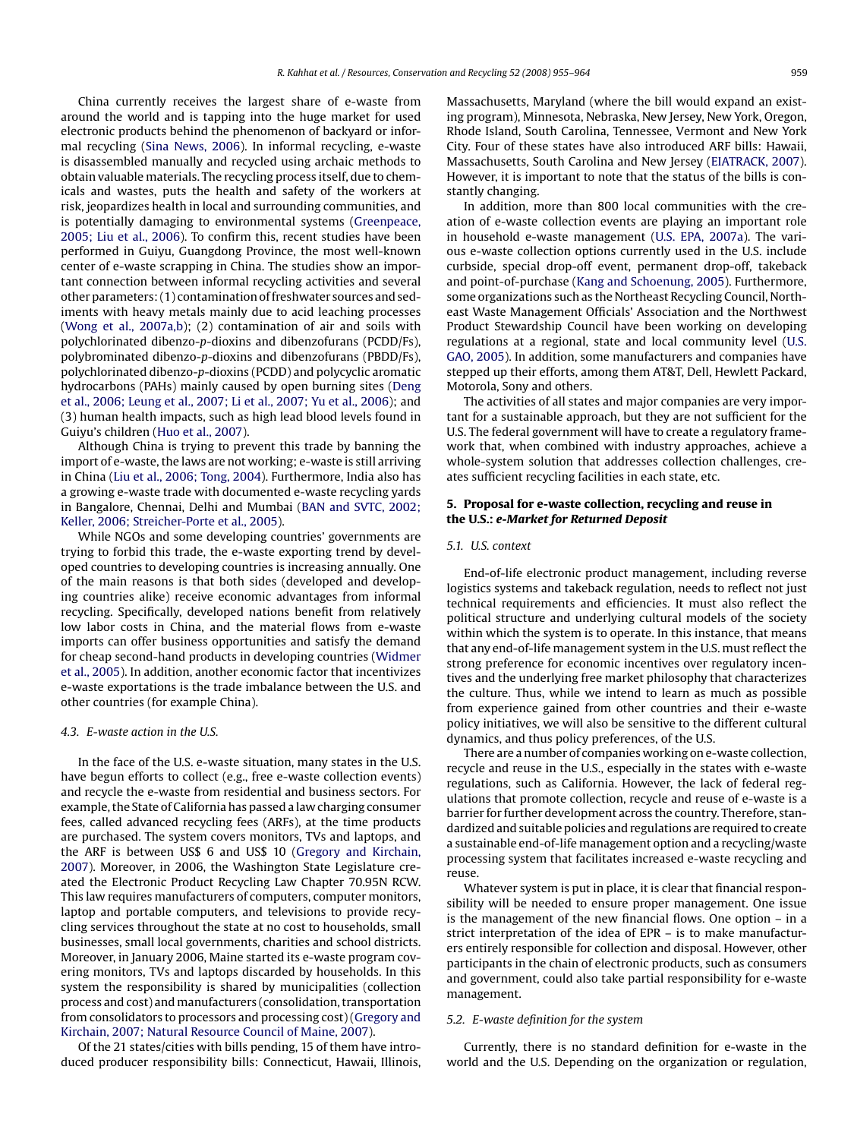China currently receives the largest share of e-waste from around the world and is tapping into the huge market for used electronic products behind the phenomenon of backyard or informal recycling ([Sina News, 2006\).](#page-9-0) In informal recycling, e-waste is disassembled manually and recycled using archaic methods to obtain valuable materials. The recycling process itself, due to chemicals and wastes, puts the health and safety of the workers at risk, jeopardizes health in local and surrounding communities, and is potentially damaging to environmental systems ([Greenpeace,](#page-8-0) [2005; Liu et al., 2006\).](#page-8-0) To confirm this, recent studies have been performed in Guiyu, Guangdong Province, the most well-known center of e-waste scrapping in China. The studies show an important connection between informal recycling activities and several other parameters: (1) contamination of freshwater sources and sediments with heavy metals mainly due to acid leaching processes [\(Wong et al., 2007a,b\);](#page-9-0) (2) contamination of air and soils with polychlorinated dibenzo-*p*-dioxins and dibenzofurans (PCDD/Fs), polybrominated dibenzo-*p*-dioxins and dibenzofurans (PBDD/Fs), polychlorinated dibenzo-*p*-dioxins (PCDD) and polycyclic aromatic hydrocarbons (PAHs) mainly caused by open burning sites ([Deng](#page-8-0) [et al., 2006; Leung et al., 2007; Li et al., 2007; Yu et al., 2006\);](#page-8-0) and (3) human health impacts, such as high lead blood levels found in Guiyu's children ([Huo et al., 2007\).](#page-9-0)

Although China is trying to prevent this trade by banning the import of e-waste, the laws are not working; e-waste is still arriving in China [\(Liu et al., 2006; Tong, 2004\).](#page-9-0) Furthermore, India also has a growing e-waste trade with documented e-waste recycling yards in Bangalore, Chennai, Delhi and Mumbai [\(BAN and SVTC, 2002;](#page-9-0) [Keller, 2006; Streicher-Porte et al., 2005\).](#page-9-0)

While NGOs and some developing countries' governments are trying to forbid this trade, the e-waste exporting trend by developed countries to developing countries is increasing annually. One of the main reasons is that both sides (developed and developing countries alike) receive economic advantages from informal recycling. Specifically, developed nations benefit from relatively low labor costs in China, and the material flows from e-waste imports can offer business opportunities and satisfy the demand for cheap second-hand products in developing countries [\(Widmer](#page-9-0) [et al., 2005\).](#page-9-0) In addition, another economic factor that incentivizes e-waste exportations is the trade imbalance between the U.S. and other countries (for example China).

#### *4.3. E-waste action in the U.S.*

In the face of the U.S. e-waste situation, many states in the U.S. have begun efforts to collect (e.g., free e-waste collection events) and recycle the e-waste from residential and business sectors. For example, the State of California has passed a law charging consumer fees, called advanced recycling fees (ARFs), at the time products are purchased. The system covers monitors, TVs and laptops, and the ARF is between US\$ 6 and US\$ 10 ([Gregory and Kirchain,](#page-9-0) [2007\).](#page-9-0) Moreover, in 2006, the Washington State Legislature created the Electronic Product Recycling Law Chapter 70.95N RCW. This law requires manufacturers of computers, computer monitors, laptop and portable computers, and televisions to provide recycling services throughout the state at no cost to households, small businesses, small local governments, charities and school districts. Moreover, in January 2006, Maine started its e-waste program covering monitors, TVs and laptops discarded by households. In this system the responsibility is shared by municipalities (collection process and cost) and manufacturers (consolidation, transportation from consolidators to processors and processing cost) [\(Gregory and](#page-9-0) [Kirchain, 2007; Natural Resource Council of Maine, 2007\).](#page-9-0)

Of the 21 states/cities with bills pending, 15 of them have introduced producer responsibility bills: Connecticut, Hawaii, Illinois, Massachusetts, Maryland (where the bill would expand an existing program), Minnesota, Nebraska, New Jersey, New York, Oregon, Rhode Island, South Carolina, Tennessee, Vermont and New York City. Four of these states have also introduced ARF bills: Hawaii, Massachusetts, South Carolina and New Jersey ([EIATRACK, 2007\).](#page-8-0) However, it is important to note that the status of the bills is constantly changing.

In addition, more than 800 local communities with the creation of e-waste collection events are playing an important role in household e-waste management ([U.S. EPA, 2007a\).](#page-9-0) The various e-waste collection options currently used in the U.S. include curbside, special drop-off event, permanent drop-off, takeback and point-of-purchase ([Kang and Schoenung, 2005\).](#page-9-0) Furthermore, some organizations such as the Northeast Recycling Council, Northeast Waste Management Officials' Association and the Northwest Product Stewardship Council have been working on developing regulations at a regional, state and local community level ([U.S.](#page-9-0) [GAO, 2005\).](#page-9-0) In addition, some manufacturers and companies have stepped up their efforts, among them AT&T, Dell, Hewlett Packard, Motorola, Sony and others.

The activities of all states and major companies are very important for a sustainable approach, but they are not sufficient for the U.S. The federal government will have to create a regulatory framework that, when combined with industry approaches, achieve a whole-system solution that addresses collection challenges, creates sufficient recycling facilities in each state, etc.

#### **5. Proposal for e-waste collection, recycling and reuse in the U.S.:** *e-Market for Returned Deposit*

#### *5.1. U.S. context*

End-of-life electronic product management, including reverse logistics systems and takeback regulation, needs to reflect not just technical requirements and efficiencies. It must also reflect the political structure and underlying cultural models of the society within which the system is to operate. In this instance, that means that any end-of-life management system in the U.S. must reflect the strong preference for economic incentives over regulatory incentives and the underlying free market philosophy that characterizes the culture. Thus, while we intend to learn as much as possible from experience gained from other countries and their e-waste policy initiatives, we will also be sensitive to the different cultural dynamics, and thus policy preferences, of the U.S.

There are a number of companies working on e-waste collection, recycle and reuse in the U.S., especially in the states with e-waste regulations, such as California. However, the lack of federal regulations that promote collection, recycle and reuse of e-waste is a barrier for further development across the country. Therefore, standardized and suitable policies and regulations are required to create a sustainable end-of-life management option and a recycling/waste processing system that facilitates increased e-waste recycling and reuse.

Whatever system is put in place, it is clear that financial responsibility will be needed to ensure proper management. One issue is the management of the new financial flows. One option – in a strict interpretation of the idea of EPR – is to make manufacturers entirely responsible for collection and disposal. However, other participants in the chain of electronic products, such as consumers and government, could also take partial responsibility for e-waste management.

#### *5.2. E-waste definition for the system*

Currently, there is no standard definition for e-waste in the world and the U.S. Depending on the organization or regulation,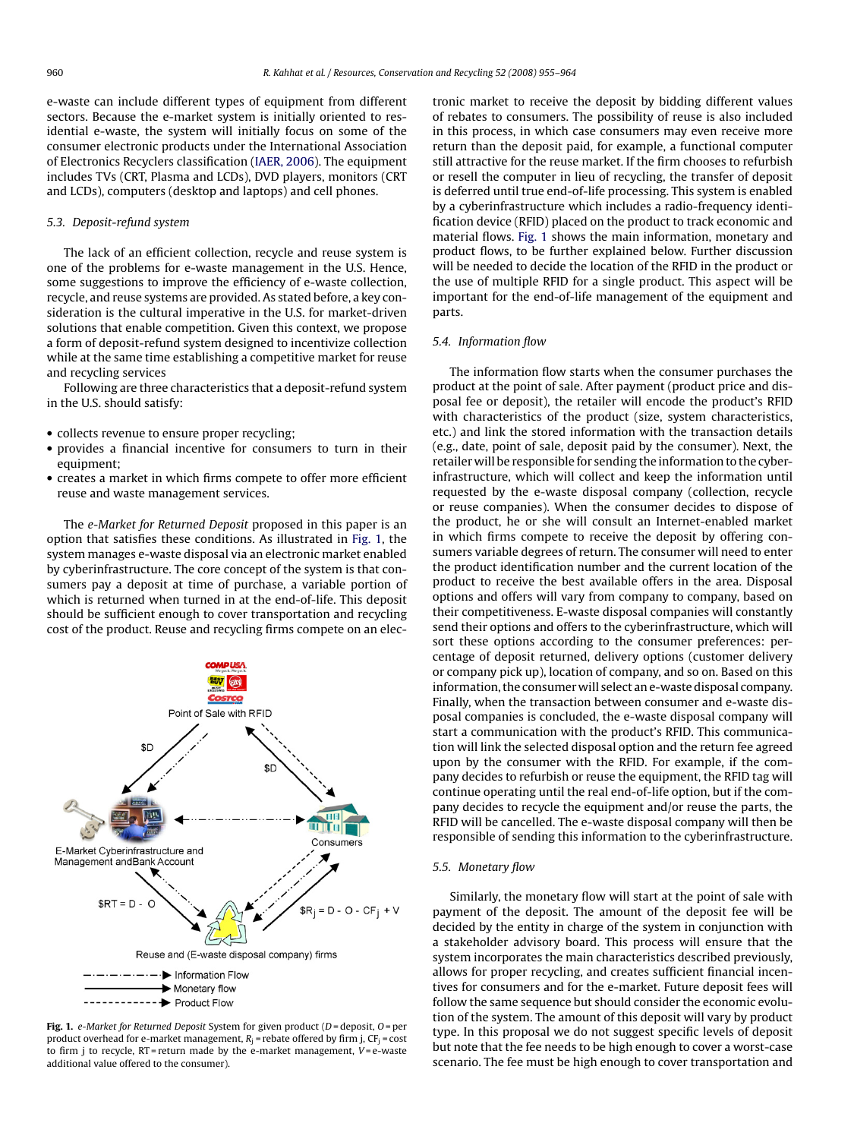e-waste can include different types of equipment from different sectors. Because the e-market system is initially oriented to residential e-waste, the system will initially focus on some of the consumer electronic products under the International Association of Electronics Recyclers classification ([IAER, 2006\).](#page-9-0) The equipment includes TVs (CRT, Plasma and LCDs), DVD players, monitors (CRT and LCDs), computers (desktop and laptops) and cell phones.

#### *5.3. Deposit-refund system*

The lack of an efficient collection, recycle and reuse system is one of the problems for e-waste management in the U.S. Hence, some suggestions to improve the efficiency of e-waste collection, recycle, and reuse systems are provided. As stated before, a key consideration is the cultural imperative in the U.S. for market-driven solutions that enable competition. Given this context, we propose a form of deposit-refund system designed to incentivize collection while at the same time establishing a competitive market for reuse and recycling services

Following are three characteristics that a deposit-refund system in the U.S. should satisfy:

- collects revenue to ensure proper recycling;
- provides a financial incentive for consumers to turn in their equipment;
- creates a market in which firms compete to offer more efficient reuse and waste management services.

The *e-Market for Returned Deposit* proposed in this paper is an option that satisfies these conditions. As illustrated in Fig. 1, the system manages e-waste disposal via an electronic market enabled by cyberinfrastructure. The core concept of the system is that consumers pay a deposit at time of purchase, a variable portion of which is returned when turned in at the end-of-life. This deposit should be sufficient enough to cover transportation and recycling cost of the product. Reuse and recycling firms compete on an elec-



**Fig. 1.** *e-Market for Returned Deposit* System for given product (*D* = deposit, *O* = per product overhead for e-market management,  $R_i$  = rebate offered by firm j,  $CF_i$  = cost to firm j to recycle, RT = return made by the e-market management, *V* = e-waste additional value offered to the consumer).

tronic market to receive the deposit by bidding different values of rebates to consumers. The possibility of reuse is also included in this process, in which case consumers may even receive more return than the deposit paid, for example, a functional computer still attractive for the reuse market. If the firm chooses to refurbish or resell the computer in lieu of recycling, the transfer of deposit is deferred until true end-of-life processing. This system is enabled by a cyberinfrastructure which includes a radio-frequency identification device (RFID) placed on the product to track economic and material flows. Fig. 1 shows the main information, monetary and product flows, to be further explained below. Further discussion will be needed to decide the location of the RFID in the product or the use of multiple RFID for a single product. This aspect will be important for the end-of-life management of the equipment and parts.

#### *5.4. Information flow*

The information flow starts when the consumer purchases the product at the point of sale. After payment (product price and disposal fee or deposit), the retailer will encode the product's RFID with characteristics of the product (size, system characteristics, etc.) and link the stored information with the transaction details (e.g., date, point of sale, deposit paid by the consumer). Next, the retailer will be responsible for sending the information to the cyberinfrastructure, which will collect and keep the information until requested by the e-waste disposal company (collection, recycle or reuse companies). When the consumer decides to dispose of the product, he or she will consult an Internet-enabled market in which firms compete to receive the deposit by offering consumers variable degrees of return. The consumer will need to enter the product identification number and the current location of the product to receive the best available offers in the area. Disposal options and offers will vary from company to company, based on their competitiveness. E-waste disposal companies will constantly send their options and offers to the cyberinfrastructure, which will sort these options according to the consumer preferences: percentage of deposit returned, delivery options (customer delivery or company pick up), location of company, and so on. Based on this information, the consumer will select an e-waste disposal company. Finally, when the transaction between consumer and e-waste disposal companies is concluded, the e-waste disposal company will start a communication with the product's RFID. This communication will link the selected disposal option and the return fee agreed upon by the consumer with the RFID. For example, if the company decides to refurbish or reuse the equipment, the RFID tag will continue operating until the real end-of-life option, but if the company decides to recycle the equipment and/or reuse the parts, the RFID will be cancelled. The e-waste disposal company will then be responsible of sending this information to the cyberinfrastructure.

#### *5.5. Monetary flow*

Similarly, the monetary flow will start at the point of sale with payment of the deposit. The amount of the deposit fee will be decided by the entity in charge of the system in conjunction with a stakeholder advisory board. This process will ensure that the system incorporates the main characteristics described previously, allows for proper recycling, and creates sufficient financial incentives for consumers and for the e-market. Future deposit fees will follow the same sequence but should consider the economic evolution of the system. The amount of this deposit will vary by product type. In this proposal we do not suggest specific levels of deposit but note that the fee needs to be high enough to cover a worst-case scenario. The fee must be high enough to cover transportation and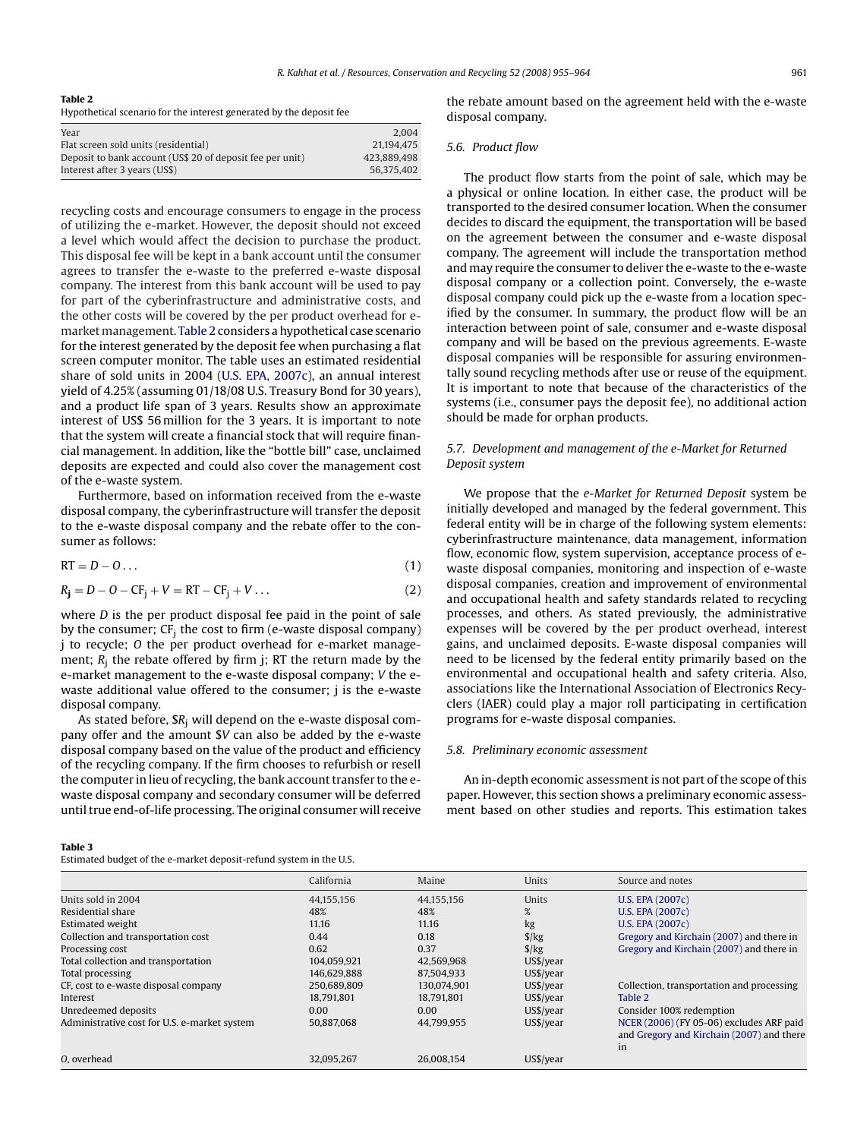#### <span id="page-6-0"></span>**Table 2**

Hypothetical scenario for the interest generated by the deposit fee

| Year                                                      | 2.004       |
|-----------------------------------------------------------|-------------|
| Flat screen sold units (residential)                      | 21.194.475  |
| Deposit to bank account (US\$ 20 of deposit fee per unit) | 423.889.498 |
| Interest after 3 years (US\$)                             | 56.375.402  |

recycling costs and encourage consumers to engage in the process of utilizing the e-market. However, the deposit should not exceed a level which would affect the decision to purchase the product. This disposal fee will be kept in a bank account until the consumer agrees to transfer the e-waste to the preferred e-waste disposal company. The interest from this bank account will be used to pay for part of the cyberinfrastructure and administrative costs, and the other costs will be covered by the per product overhead for emarket management. Table 2 considers a hypothetical case scenario for the interest generated by the deposit fee when purchasing a flat screen computer monitor. The table uses an estimated residential share of sold units in 2004 ([U.S. EPA, 2007c\),](#page-9-0) an annual interest yield of 4.25% (assuming 01/18/08 U.S. Treasury Bond for 30 years), and a product life span of 3 years. Results show an approximate interest of US\$ 56 million for the 3 years. It is important to note that the system will create a financial stock that will require financial management. In addition, like the "bottle bill" case, unclaimed deposits are expected and could also cover the management cost of the e-waste system.

Furthermore, based on information received from the e-waste disposal company, the cyberinfrastructure will transfer the deposit to the e-waste disposal company and the rebate offer to the consumer as follows:

$$
RT = D - O \dots \tag{1}
$$

$$
R_{j} = D - O - CF_{j} + V = RT - CF_{j} + V \dots
$$
 (2)

where *D* is the per product disposal fee paid in the point of sale by the consumer;  $CF_i$  the cost to firm (e-waste disposal company) j to recycle; *O* the per product overhead for e-market management;  $R_i$  the rebate offered by firm j; RT the return made by the e-market management to the e-waste disposal company; *V* the ewaste additional value offered to the consumer; *j* is the e-waste disposal company.

As stated before,  $$R_i$  will depend on the e-waste disposal company offer and the amount \$*V* can also be added by the e-waste disposal company based on the value of the product and efficiency of the recycling company. If the firm chooses to refurbish or resell the computer in lieu of recycling, the bank account transfer to the ewaste disposal company and secondary consumer will be deferred until true end-of-life processing. The original consumer will receive

**Table 3**

Estimated budget of the e-market deposit-refund system in the U.S.

the rebate amount based on the agreement held with the e-waste disposal company.

#### *5.6. Product flow*

The product flow starts from the point of sale, which may be a physical or online location. In either case, the product will be transported to the desired consumer location. When the consumer decides to discard the equipment, the transportation will be based on the agreement between the consumer and e-waste disposal company. The agreement will include the transportation method and may require the consumer to deliver the e-waste to the e-waste disposal company or a collection point. Conversely, the e-waste disposal company could pick up the e-waste from a location specified by the consumer. In summary, the product flow will be an interaction between point of sale, consumer and e-waste disposal company and will be based on the previous agreements. E-waste disposal companies will be responsible for assuring environmentally sound recycling methods after use or reuse of the equipment. It is important to note that because of the characteristics of the systems (i.e., consumer pays the deposit fee), no additional action should be made for orphan products.

### *5.7. Development and management of the e-Market for Returned Deposit system*

We propose that the *e-Market for Returned Deposit* system be initially developed and managed by the federal government. This federal entity will be in charge of the following system elements: cyberinfrastructure maintenance, data management, information flow, economic flow, system supervision, acceptance process of ewaste disposal companies, monitoring and inspection of e-waste disposal companies, creation and improvement of environmental and occupational health and safety standards related to recycling processes, and others. As stated previously, the administrative expenses will be covered by the per product overhead, interest gains, and unclaimed deposits. E-waste disposal companies will need to be licensed by the federal entity primarily based on the environmental and occupational health and safety criteria. Also, associations like the International Association of Electronics Recyclers (IAER) could play a major roll participating in certification programs for e-waste disposal companies.

#### *5.8. Preliminary economic assessment*

An in-depth economic assessment is not part of the scope of this paper. However, this section shows a preliminary economic assessment based on other studies and reports. This estimation takes

|                                              | California  | Maine       | Units                | Source and notes                                                                            |
|----------------------------------------------|-------------|-------------|----------------------|---------------------------------------------------------------------------------------------|
| Units sold in 2004                           | 44,155,156  | 44,155,156  | Units                | U.S. EPA (2007c)                                                                            |
| Residential share                            | 48%         | 48%         | %                    | U.S. EPA (2007c)                                                                            |
| Estimated weight                             | 11.16       | 11.16       | kg                   | U.S. EPA (2007c)                                                                            |
| Collection and transportation cost           | 0.44        | 0.18        | $\frac{\sqrt{2}}{2}$ | Gregory and Kirchain (2007) and there in                                                    |
| Processing cost                              | 0.62        | 0.37        | $\frac{1}{2}$        | Gregory and Kirchain (2007) and there in                                                    |
| Total collection and transportation          | 104,059,921 | 42,569,968  | US\$/year            |                                                                                             |
| Total processing                             | 146.629.888 | 87.504.933  | US\$/year            |                                                                                             |
| CF, cost to e-waste disposal company         | 250,689,809 | 130,074,901 | US\$/year            | Collection, transportation and processing                                                   |
| Interest                                     | 18.791.801  | 18.791.801  | US\$/year            | Table 2                                                                                     |
| Unredeemed deposits                          | 0.00        | 0.00        | US\$/year            | Consider 100% redemption                                                                    |
| Administrative cost for U.S. e-market system | 50,887,068  | 44,799,955  | US\$/year            | NCER (2006) (FY 05-06) excludes ARF paid<br>and Gregory and Kirchain (2007) and there<br>in |
| O, overhead                                  | 32.095.267  | 26.008.154  | US\$/year            |                                                                                             |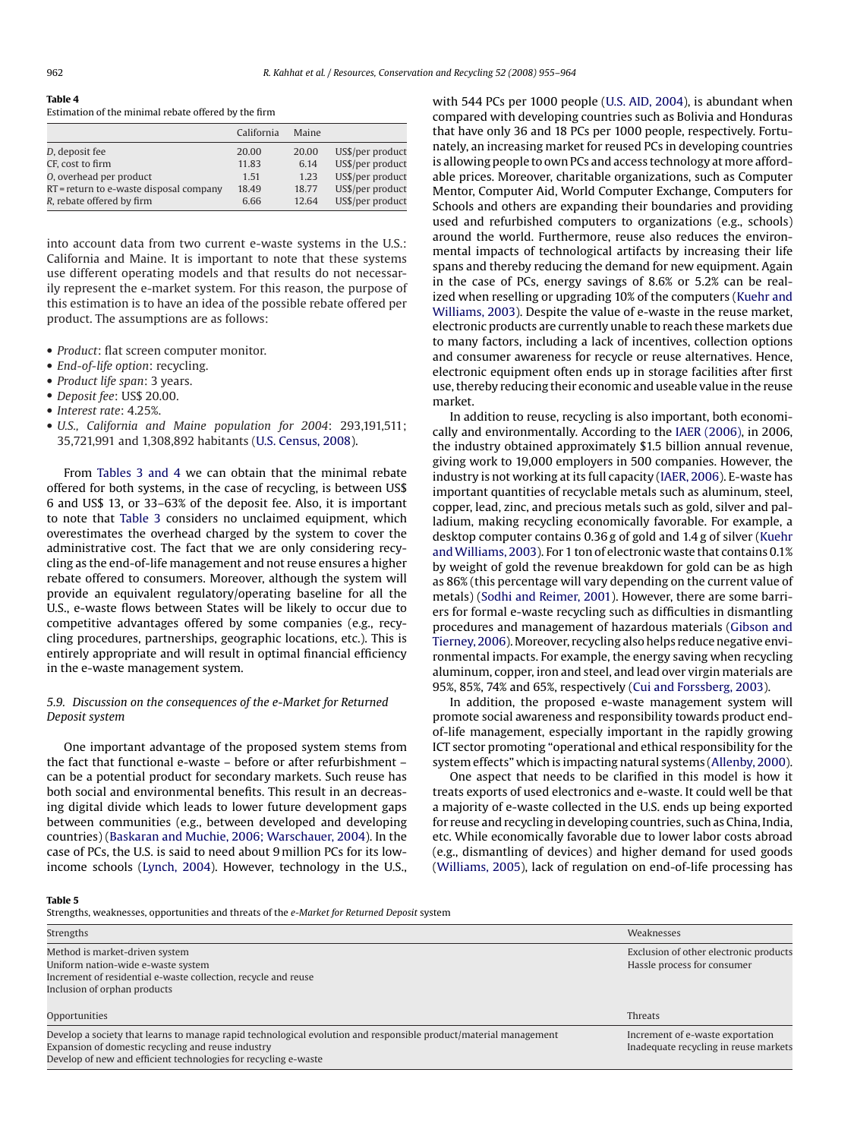<span id="page-7-0"></span>

| $\sim$<br>. . |  |
|---------------|--|
|---------------|--|

| Estimation of the minimal rebate offered by the firm |  |  |  |  |
|------------------------------------------------------|--|--|--|--|
|                                                      |  |  |  |  |

|                                         | California | Maine |                  |
|-----------------------------------------|------------|-------|------------------|
| D, deposit fee                          | 20.00      | 20.00 | US\$/per product |
| CF. cost to firm                        | 11.83      | 6.14  | US\$/per product |
| O, overhead per product                 | 1.51       | 1.23  | US\$/per product |
| RT = return to e-waste disposal company | 18.49      | 18.77 | US\$/per product |
| R, rebate offered by firm               | 6.66       | 12.64 | US\$/per product |

into account data from two current e-waste systems in the U.S.: California and Maine. It is important to note that these systems use different operating models and that results do not necessarily represent the e-market system. For this reason, the purpose of this estimation is to have an idea of the possible rebate offered per product. The assumptions are as follows:

- *Product*: flat screen computer monitor.
- *End-of-life option*: recycling.
- *Product life span*: 3 years.
- *Deposit fee*: US\$ 20.00.
- *Interest rate*: 4.25%.
- *U.S., California and Maine population for 2004*: 293,191,511; 35,721,991 and 1,308,892 habitants ([U.S. Census, 2008\).](#page-9-0)

From [Tables 3 and 4](#page-6-0) we can obtain that the minimal rebate offered for both systems, in the case of recycling, is between US\$ 6 and US\$ 13, or 33–63% of the deposit fee. Also, it is important to note that [Table 3](#page-6-0) considers no unclaimed equipment, which overestimates the overhead charged by the system to cover the administrative cost. The fact that we are only considering recycling as the end-of-life management and not reuse ensures a higher rebate offered to consumers. Moreover, although the system will provide an equivalent regulatory/operating baseline for all the U.S., e-waste flows between States will be likely to occur due to competitive advantages offered by some companies (e.g., recycling procedures, partnerships, geographic locations, etc.). This is entirely appropriate and will result in optimal financial efficiency in the e-waste management system.

## *5.9. Discussion on the consequences of the e-Market for Returned Deposit system*

One important advantage of the proposed system stems from the fact that functional e-waste – before or after refurbishment – can be a potential product for secondary markets. Such reuse has both social and environmental benefits. This result in an decreasing digital divide which leads to lower future development gaps between communities (e.g., between developed and developing countries) [\(Baskaran and Muchie, 2006; Warschauer, 2004\).](#page-8-0) In the case of PCs, the U.S. is said to need about 9 million PCs for its lowincome schools [\(Lynch, 2004\).](#page-9-0) However, technology in the U.S.,

with 544 PCs per 1000 people [\(U.S. AID, 2004\),](#page-9-0) is abundant when compared with developing countries such as Bolivia and Honduras that have only 36 and 18 PCs per 1000 people, respectively. Fortunately, an increasing market for reused PCs in developing countries is allowing people to own PCs and access technology at more affordable prices. Moreover, charitable organizations, such as Computer Mentor, Computer Aid, World Computer Exchange, Computers for Schools and others are expanding their boundaries and providing used and refurbished computers to organizations (e.g., schools) around the world. Furthermore, reuse also reduces the environmental impacts of technological artifacts by increasing their life spans and thereby reducing the demand for new equipment. Again in the case of PCs, energy savings of 8.6% or 5.2% can be realized when reselling or upgrading 10% of the computers ([Kuehr and](#page-9-0) [Williams, 2003\).](#page-9-0) Despite the value of e-waste in the reuse market, electronic products are currently unable to reach these markets due to many factors, including a lack of incentives, collection options and consumer awareness for recycle or reuse alternatives. Hence, electronic equipment often ends up in storage facilities after first use, thereby reducing their economic and useable value in the reuse market.

In addition to reuse, recycling is also important, both economically and environmentally. According to the [IAER \(2006\), i](#page-9-0)n 2006, the industry obtained approximately \$1.5 billion annual revenue, giving work to 19,000 employers in 500 companies. However, the industry is not working at its full capacity [\(IAER, 2006\).](#page-9-0) E-waste has important quantities of recyclable metals such as aluminum, steel, copper, lead, zinc, and precious metals such as gold, silver and palladium, making recycling economically favorable. For example, a desktop computer contains 0.36 g of gold and 1.4 g of silver ([Kuehr](#page-9-0) [andWilliams, 2003\).](#page-9-0) For 1 ton of electronic waste that contains 0.1% by weight of gold the revenue breakdown for gold can be as high as 86% (this percentage will vary depending on the current value of metals) ([Sodhi and Reimer, 2001\).](#page-9-0) However, there are some barriers for formal e-waste recycling such as difficulties in dismantling procedures and management of hazardous materials [\(Gibson and](#page-8-0) [Tierney, 2006\).](#page-8-0)Moreover, recycling also helps reduce negative environmental impacts. For example, the energy saving when recycling aluminum, copper, iron and steel, and lead over virgin materials are 95%, 85%, 74% and 65%, respectively [\(Cui and Forssberg, 2003\).](#page-8-0)

In addition, the proposed e-waste management system will promote social awareness and responsibility towards product endof-life management, especially important in the rapidly growing ICT sector promoting "operational and ethical responsibility for the system effects" which is impacting natural systems ([Allenby, 2000\).](#page-8-0)

One aspect that needs to be clarified in this model is how it treats exports of used electronics and e-waste. It could well be that a majority of e-waste collected in the U.S. ends up being exported for reuse and recycling in developing countries, such as China, India, etc. While economically favorable due to lower labor costs abroad (e.g., dismantling of devices) and higher demand for used goods ([Williams, 2005\),](#page-9-0) lack of regulation on end-of-life processing has

|--|

Strengths, weaknesses, opportunities and threats of the *e-Market for Returned Deposit* system

| Strengths                                                                                                                                                                                                                                  | Weaknesses                                                                |
|--------------------------------------------------------------------------------------------------------------------------------------------------------------------------------------------------------------------------------------------|---------------------------------------------------------------------------|
| Method is market-driven system<br>Uniform nation-wide e-waste system<br>Increment of residential e-waste collection, recycle and reuse<br>Inclusion of orphan products                                                                     | Exclusion of other electronic products<br>Hassle process for consumer     |
| Opportunities                                                                                                                                                                                                                              | <b>Threats</b>                                                            |
| Develop a society that learns to manage rapid technological evolution and responsible product/material management<br>Expansion of domestic recycling and reuse industry<br>Develop of new and efficient technologies for recycling e-waste | Increment of e-waste exportation<br>Inadequate recycling in reuse markets |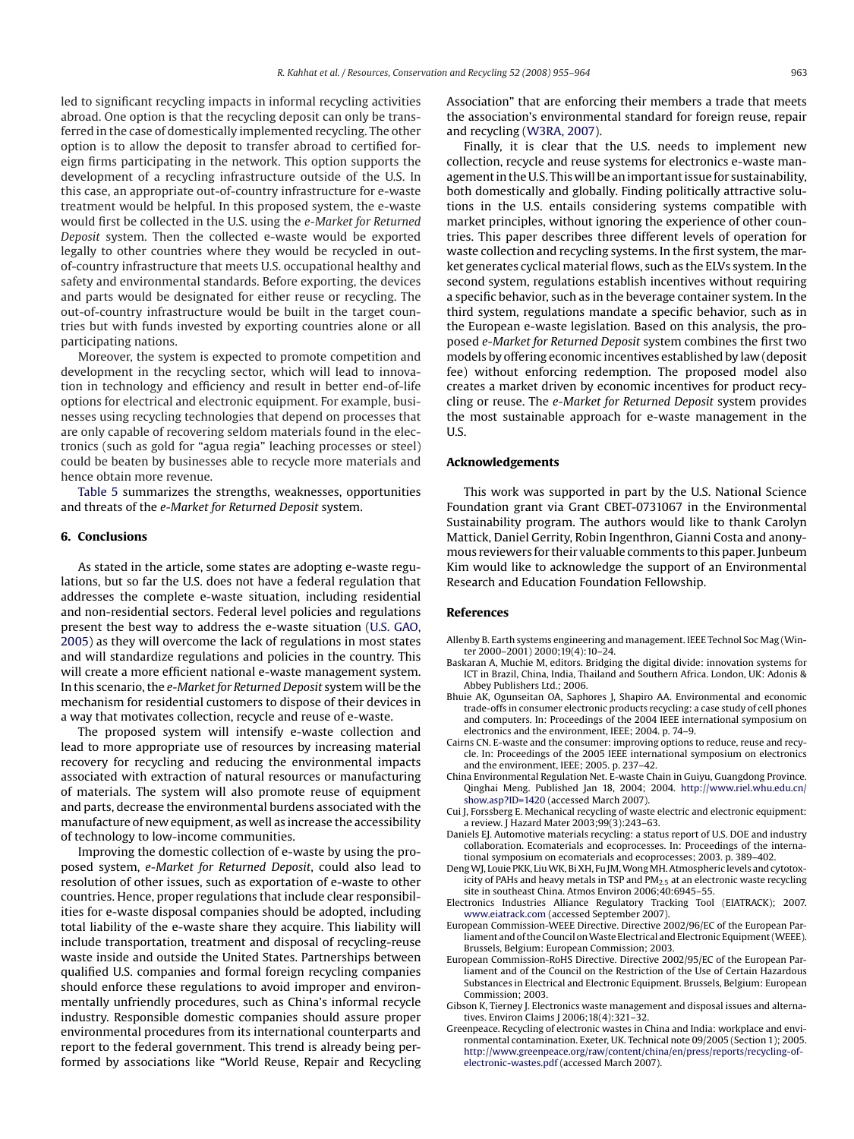<span id="page-8-0"></span>led to significant recycling impacts in informal recycling activities abroad. One option is that the recycling deposit can only be transferred in the case of domestically implemented recycling. The other option is to allow the deposit to transfer abroad to certified foreign firms participating in the network. This option supports the development of a recycling infrastructure outside of the U.S. In this case, an appropriate out-of-country infrastructure for e-waste treatment would be helpful. In this proposed system, the e-waste would first be collected in the U.S. using the *e-Market for Returned Deposit* system. Then the collected e-waste would be exported legally to other countries where they would be recycled in outof-country infrastructure that meets U.S. occupational healthy and safety and environmental standards. Before exporting, the devices and parts would be designated for either reuse or recycling. The out-of-country infrastructure would be built in the target countries but with funds invested by exporting countries alone or all participating nations.

Moreover, the system is expected to promote competition and development in the recycling sector, which will lead to innovation in technology and efficiency and result in better end-of-life options for electrical and electronic equipment. For example, businesses using recycling technologies that depend on processes that are only capable of recovering seldom materials found in the electronics (such as gold for "agua regia" leaching processes or steel) could be beaten by businesses able to recycle more materials and hence obtain more revenue.

[Table 5](#page-7-0) summarizes the strengths, weaknesses, opportunities and threats of the *e-Market for Returned Deposit* system.

#### **6. Conclusions**

As stated in the article, some states are adopting e-waste regulations, but so far the U.S. does not have a federal regulation that addresses the complete e-waste situation, including residential and non-residential sectors. Federal level policies and regulations present the best way to address the e-waste situation ([U.S. GAO,](#page-9-0) [2005\)](#page-9-0) as they will overcome the lack of regulations in most states and will standardize regulations and policies in the country. This will create a more efficient national e-waste management system. In this scenario, the *e-Market for Returned Deposit* system will be the mechanism for residential customers to dispose of their devices in a way that motivates collection, recycle and reuse of e-waste.

The proposed system will intensify e-waste collection and lead to more appropriate use of resources by increasing material recovery for recycling and reducing the environmental impacts associated with extraction of natural resources or manufacturing of materials. The system will also promote reuse of equipment and parts, decrease the environmental burdens associated with the manufacture of new equipment, as well as increase the accessibility of technology to low-income communities.

Improving the domestic collection of e-waste by using the proposed system, *e-Market for Returned Deposit*, could also lead to resolution of other issues, such as exportation of e-waste to other countries. Hence, proper regulations that include clear responsibilities for e-waste disposal companies should be adopted, including total liability of the e-waste share they acquire. This liability will include transportation, treatment and disposal of recycling-reuse waste inside and outside the United States. Partnerships between qualified U.S. companies and formal foreign recycling companies should enforce these regulations to avoid improper and environmentally unfriendly procedures, such as China's informal recycle industry. Responsible domestic companies should assure proper environmental procedures from its international counterparts and report to the federal government. This trend is already being performed by associations like "World Reuse, Repair and Recycling Association" that are enforcing their members a trade that meets the association's environmental standard for foreign reuse, repair and recycling [\(W3RA, 2007\).](#page-9-0)

Finally, it is clear that the U.S. needs to implement new collection, recycle and reuse systems for electronics e-waste management in the U.S. This will be an important issue for sustainability, both domestically and globally. Finding politically attractive solutions in the U.S. entails considering systems compatible with market principles, without ignoring the experience of other countries. This paper describes three different levels of operation for waste collection and recycling systems. In the first system, the market generates cyclical material flows, such as the ELVs system. In the second system, regulations establish incentives without requiring a specific behavior, such as in the beverage container system. In the third system, regulations mandate a specific behavior, such as in the European e-waste legislation. Based on this analysis, the proposed *e-Market for Returned Deposit* system combines the first two models by offering economic incentives established by law (deposit fee) without enforcing redemption. The proposed model also creates a market driven by economic incentives for product recycling or reuse. The *e-Market for Returned Deposit* system provides the most sustainable approach for e-waste management in the U.S.

#### **Acknowledgements**

This work was supported in part by the U.S. National Science Foundation grant via Grant CBET-0731067 in the Environmental Sustainability program. The authors would like to thank Carolyn Mattick, Daniel Gerrity, Robin Ingenthron, Gianni Costa and anonymous reviewers for their valuable comments to this paper. Junbeum Kim would like to acknowledge the support of an Environmental Research and Education Foundation Fellowship.

#### **References**

- Allenby B. Earth systems engineering and management. IEEE Technol Soc Mag (Winter 2000–2001) 2000;19(4):10–24.
- Baskaran A, Muchie M, editors. Bridging the digital divide: innovation systems for ICT in Brazil, China, India, Thailand and Southern Africa. London, UK: Adonis & Abbey Publishers Ltd.; 2006.
- Bhuie AK, Ogunseitan OA, Saphores J, Shapiro AA. Environmental and economic trade-offs in consumer electronic products recycling: a case study of cell phones and computers. In: Proceedings of the 2004 IEEE international symposium on electronics and the environment, IEEE; 2004. p. 74–9.
- Cairns CN. E-waste and the consumer: improving options to reduce, reuse and recycle. In: Proceedings of the 2005 IEEE international symposium on electronics and the environment, IEEE; 2005. p. 237–42.
- China Environmental Regulation Net. E-waste Chain in Guiyu, Guangdong Province. Qinghai Meng. Published Jan 18, 2004; 2004. [http://www.riel.whu.edu.cn/](http://www.riel.whu.edu.cn/show.asp?ID=1420) [show.asp?ID=1420](http://www.riel.whu.edu.cn/show.asp?ID=1420) (accessed March 2007).
- Cui J, Forssberg E. Mechanical recycling of waste electric and electronic equipment: a review. J Hazard Mater 2003;99(3):243–63.
- Daniels EJ. Automotive materials recycling: a status report of U.S. DOE and industry collaboration. Ecomaterials and ecoprocesses. In: Proceedings of the international symposium on ecomaterials and ecoprocesses; 2003. p. 389–402.
- Deng WJ, Louie PKK, Liu WK, Bi XH, Fu JM, Wong MH. Atmospheric levels and cytotoxicity of PAHs and heavy metals in TSP and PM<sub>2.5</sub> at an electronic waste recycling site in southeast China. Atmos Environ 2006;40:6945–55.
- Electronics Industries Alliance Regulatory Tracking Tool (EIATRACK); 2007. [www.eiatrack.com](http://www.eiatrack.com/) (accessed September 2007).
- European Commission-WEEE Directive. Directive 2002/96/EC of the European Parliament and of the Council on Waste Electrical and Electronic Equipment (WEEE). Brussels, Belgium: European Commission; 2003.
- European Commission-RoHS Directive. Directive 2002/95/EC of the European Parliament and of the Council on the Restriction of the Use of Certain Hazardous Substances in Electrical and Electronic Equipment. Brussels, Belgium: European Commission; 2003.
- Gibson K, Tierney J. Electronics waste management and disposal issues and alternatives. Environ Claims J 2006;18(4):321–32.
- Greenpeace. Recycling of electronic wastes in China and India: workplace and environmental contamination. Exeter, UK. Technical note 09/2005 (Section 1); 2005. [http://www.greenpeace.org/raw/content/china/en/press/reports/recycling-of](http://www.greenpeace.org/raw/content/china/en/press/reports/recycling-of-electronic-wastes.pdf)electronic-wastes.pdf (accessed March 2007).